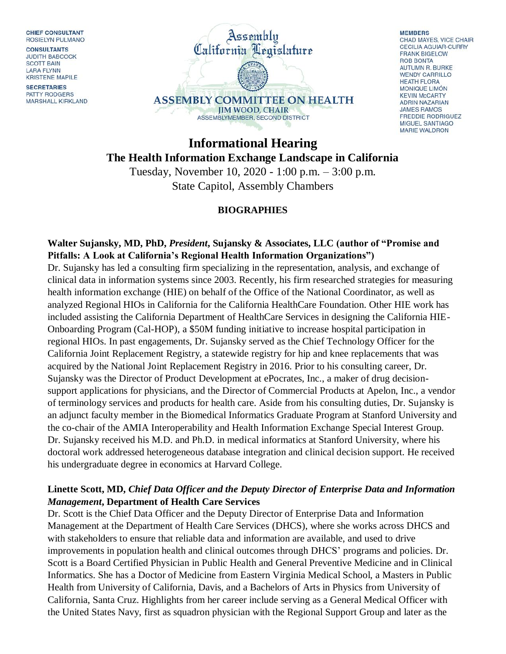**CHIEF CONSULTANT** ROSIELYN PULMANO

**CONSULTANTS JUDITH BABCOCK SCOTT BAIN LARA FLYNN KRISTENE MAPILE** 

**SECRETARIES** PATTY RODGERS MARSHALL KIRKLAND



**MEMBERS** CHAD MAYES, VICE CHAIR **CECILIA AGUIAR-CURRY FRANK BIGELOW ROB BONTA** AUTUMN R. BURKE **WENDY CARRILLO HEATH FLORA MONIQUE LIMÓN KEVIN McCARTY ADRIN NAZARIAN JAMES RAMOS FREDDIE RODRIGUEZ** MIGUEL SANTIAGO **MARIE WALDRON** 

# **Informational Hearing The Health Information Exchange Landscape in California**

Tuesday, November 10, 2020 - 1:00 p.m. – 3:00 p.m. State Capitol, Assembly Chambers

### **BIOGRAPHIES**

#### **Walter Sujansky, MD, PhD,** *President***, Sujansky & Associates, LLC (author of "Promise and Pitfalls: A Look at California's Regional Health Information Organizations")**

Dr. Sujansky has led a consulting firm specializing in the representation, analysis, and exchange of clinical data in information systems since 2003. Recently, his firm researched strategies for measuring health information exchange (HIE) on behalf of the Office of the National Coordinator, as well as analyzed Regional HIOs in California for the California HealthCare Foundation. Other HIE work has included assisting the California Department of HealthCare Services in designing the California HIE-Onboarding Program (Cal-HOP), a \$50M funding initiative to increase hospital participation in regional HIOs. In past engagements, Dr. Sujansky served as the Chief Technology Officer for the California Joint Replacement Registry, a statewide registry for hip and knee replacements that was acquired by the National Joint Replacement Registry in 2016. Prior to his consulting career, Dr. Sujansky was the Director of Product Development at ePocrates, Inc., a maker of drug decisionsupport applications for physicians, and the Director of Commercial Products at Apelon, Inc., a vendor of terminology services and products for health care. Aside from his consulting duties, Dr. Sujansky is an adjunct faculty member in the Biomedical Informatics Graduate Program at Stanford University and the co-chair of the AMIA Interoperability and Health Information Exchange Special Interest Group. Dr. Sujansky received his M.D. and Ph.D. in medical informatics at Stanford University, where his doctoral work addressed heterogeneous database integration and clinical decision support. He received his undergraduate degree in economics at Harvard College.

### **Linette Scott, MD,** *Chief Data Officer and the Deputy Director of Enterprise Data and Information Management***, Department of Health Care Services**

Dr. Scott is the Chief Data Officer and the Deputy Director of Enterprise Data and Information Management at the Department of Health Care Services (DHCS), where she works across DHCS and with stakeholders to ensure that reliable data and information are available, and used to drive improvements in population health and clinical outcomes through DHCS' programs and policies. Dr. Scott is a Board Certified Physician in Public Health and General Preventive Medicine and in Clinical Informatics. She has a Doctor of Medicine from Eastern Virginia Medical School, a Masters in Public Health from University of California, Davis, and a Bachelors of Arts in Physics from University of California, Santa Cruz. Highlights from her career include serving as a General Medical Officer with the United States Navy, first as squadron physician with the Regional Support Group and later as the